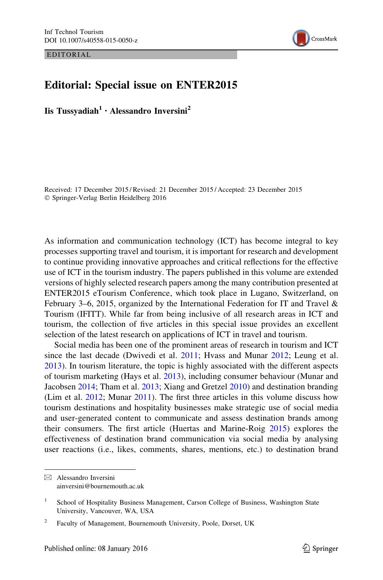EDITORIAL



## Editorial: Special issue on ENTER2015

Iis Tussyadiah<sup>1</sup> · Alessandro Inversini<sup>2</sup>

Received: 17 December 2015 / Revised: 21 December 2015 / Accepted: 23 December 2015 - Springer-Verlag Berlin Heidelberg 2016

As information and communication technology (ICT) has become integral to key processes supporting travel and tourism, it is important for research and development to continue providing innovative approaches and critical reflections for the effective use of ICT in the tourism industry. The papers published in this volume are extended versions of highly selected research papers among the many contribution presented at ENTER2015 eTourism Conference, which took place in Lugano, Switzerland, on February 3–6, 2015, organized by the International Federation for IT and Travel & Tourism (IFITT). While far from being inclusive of all research areas in ICT and tourism, the collection of five articles in this special issue provides an excellent selection of the latest research on applications of ICT in travel and tourism.

Social media has been one of the prominent areas of research in tourism and ICT since the last decade (Dwivedi et al. [2011;](#page-2-0) Hvass and Munar [2012](#page-3-0); Leung et al. [2013\)](#page-3-0). In tourism literature, the topic is highly associated with the different aspects of tourism marketing (Hays et al. [2013\)](#page-3-0), including consumer behaviour (Munar and Jacobsen [2014;](#page-3-0) Tham et al. [2013;](#page-3-0) Xiang and Gretzel [2010\)](#page-3-0) and destination branding (Lim et al. [2012](#page-3-0); Munar [2011](#page-3-0)). The first three articles in this volume discuss how tourism destinations and hospitality businesses make strategic use of social media and user-generated content to communicate and assess destination brands among their consumers. The first article (Huertas and Marine-Roig [2015](#page-3-0)) explores the effectiveness of destination brand communication via social media by analysing user reactions (i.e., likes, comments, shares, mentions, etc.) to destination brand

 $\boxtimes$  Alessandro Inversini ainversini@bournemouth.ac.uk

<sup>&</sup>lt;sup>1</sup> School of Hospitality Business Management, Carson College of Business, Washington State University, Vancouver, WA, USA

<sup>&</sup>lt;sup>2</sup> Faculty of Management, Bournemouth University, Poole, Dorset, UK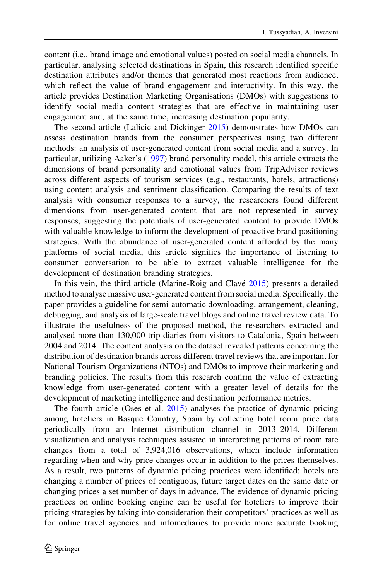content (i.e., brand image and emotional values) posted on social media channels. In particular, analysing selected destinations in Spain, this research identified specific destination attributes and/or themes that generated most reactions from audience, which reflect the value of brand engagement and interactivity. In this way, the article provides Destination Marketing Organisations (DMOs) with suggestions to identify social media content strategies that are effective in maintaining user engagement and, at the same time, increasing destination popularity.

The second article (Lalicic and Dickinger [2015](#page-3-0)) demonstrates how DMOs can assess destination brands from the consumer perspectives using two different methods: an analysis of user-generated content from social media and a survey. In particular, utilizing Aaker's [\(1997](#page-2-0)) brand personality model, this article extracts the dimensions of brand personality and emotional values from TripAdvisor reviews across different aspects of tourism services (e.g., restaurants, hotels, attractions) using content analysis and sentiment classification. Comparing the results of text analysis with consumer responses to a survey, the researchers found different dimensions from user-generated content that are not represented in survey responses, suggesting the potentials of user-generated content to provide DMOs with valuable knowledge to inform the development of proactive brand positioning strategies. With the abundance of user-generated content afforded by the many platforms of social media, this article signifies the importance of listening to consumer conversation to be able to extract valuable intelligence for the development of destination branding strategies.

In this vein, the third article (Marine-Roig and Clavé [2015\)](#page-3-0) presents a detailed method to analyse massive user-generated content from social media. Specifically, the paper provides a guideline for semi-automatic downloading, arrangement, cleaning, debugging, and analysis of large-scale travel blogs and online travel review data. To illustrate the usefulness of the proposed method, the researchers extracted and analysed more than 130,000 trip diaries from visitors to Catalonia, Spain between 2004 and 2014. The content analysis on the dataset revealed patterns concerning the distribution of destination brands across different travel reviews that are important for National Tourism Organizations (NTOs) and DMOs to improve their marketing and branding policies. The results from this research confirm the value of extracting knowledge from user-generated content with a greater level of details for the development of marketing intelligence and destination performance metrics.

The fourth article (Oses et al.  $2015$ ) analyses the practice of dynamic pricing among hoteliers in Basque Country, Spain by collecting hotel room price data periodically from an Internet distribution channel in 2013–2014. Different visualization and analysis techniques assisted in interpreting patterns of room rate changes from a total of 3,924,016 observations, which include information regarding when and why price changes occur in addition to the prices themselves. As a result, two patterns of dynamic pricing practices were identified: hotels are changing a number of prices of contiguous, future target dates on the same date or changing prices a set number of days in advance. The evidence of dynamic pricing practices on online booking engine can be useful for hoteliers to improve their pricing strategies by taking into consideration their competitors' practices as well as for online travel agencies and infomediaries to provide more accurate booking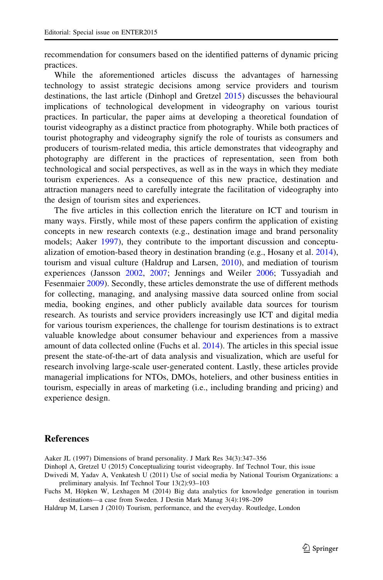<span id="page-2-0"></span>recommendation for consumers based on the identified patterns of dynamic pricing practices.

While the aforementioned articles discuss the advantages of harnessing technology to assist strategic decisions among service providers and tourism destinations, the last article (Dinhopl and Gretzel 2015) discusses the behavioural implications of technological development in videography on various tourist practices. In particular, the paper aims at developing a theoretical foundation of tourist videography as a distinct practice from photography. While both practices of tourist photography and videography signify the role of tourists as consumers and producers of tourism-related media, this article demonstrates that videography and photography are different in the practices of representation, seen from both technological and social perspectives, as well as in the ways in which they mediate tourism experiences. As a consequence of this new practice, destination and attraction managers need to carefully integrate the facilitation of videography into the design of tourism sites and experiences.

The five articles in this collection enrich the literature on ICT and tourism in many ways. Firstly, while most of these papers confirm the application of existing concepts in new research contexts (e.g., destination image and brand personality models; Aaker 1997), they contribute to the important discussion and conceptualization of emotion-based theory in destination branding (e.g., Hosany et al. [2014\)](#page-3-0), tourism and visual culture (Haldrup and Larsen, 2010), and mediation of tourism experiences (Jansson [2002,](#page-3-0) [2007](#page-3-0); Jennings and Weiler [2006](#page-3-0); Tussyadiah and Fesenmaier [2009\)](#page-3-0). Secondly, these articles demonstrate the use of different methods for collecting, managing, and analysing massive data sourced online from social media, booking engines, and other publicly available data sources for tourism research. As tourists and service providers increasingly use ICT and digital media for various tourism experiences, the challenge for tourism destinations is to extract valuable knowledge about consumer behaviour and experiences from a massive amount of data collected online (Fuchs et al. 2014). The articles in this special issue present the state-of-the-art of data analysis and visualization, which are useful for research involving large-scale user-generated content. Lastly, these articles provide managerial implications for NTOs, DMOs, hoteliers, and other business entities in tourism, especially in areas of marketing (i.e., including branding and pricing) and experience design.

## References

Aaker JL (1997) Dimensions of brand personality. J Mark Res 34(3):347–356 Dinhopl A, Gretzel U (2015) Conceptualizing tourist videography. Inf Technol Tour, this issue Dwivedi M, Yadav A, Venkatesh U (2011) Use of social media by National Tourism Organizations: a preliminary analysis. Inf Technol Tour 13(2):93–103

Fuchs M, Höpken W, Lexhagen M (2014) Big data analytics for knowledge generation in tourism destinations—a case from Sweden. J Destin Mark Manag 3(4):198–209

Haldrup M, Larsen J (2010) Tourism, performance, and the everyday. Routledge, London